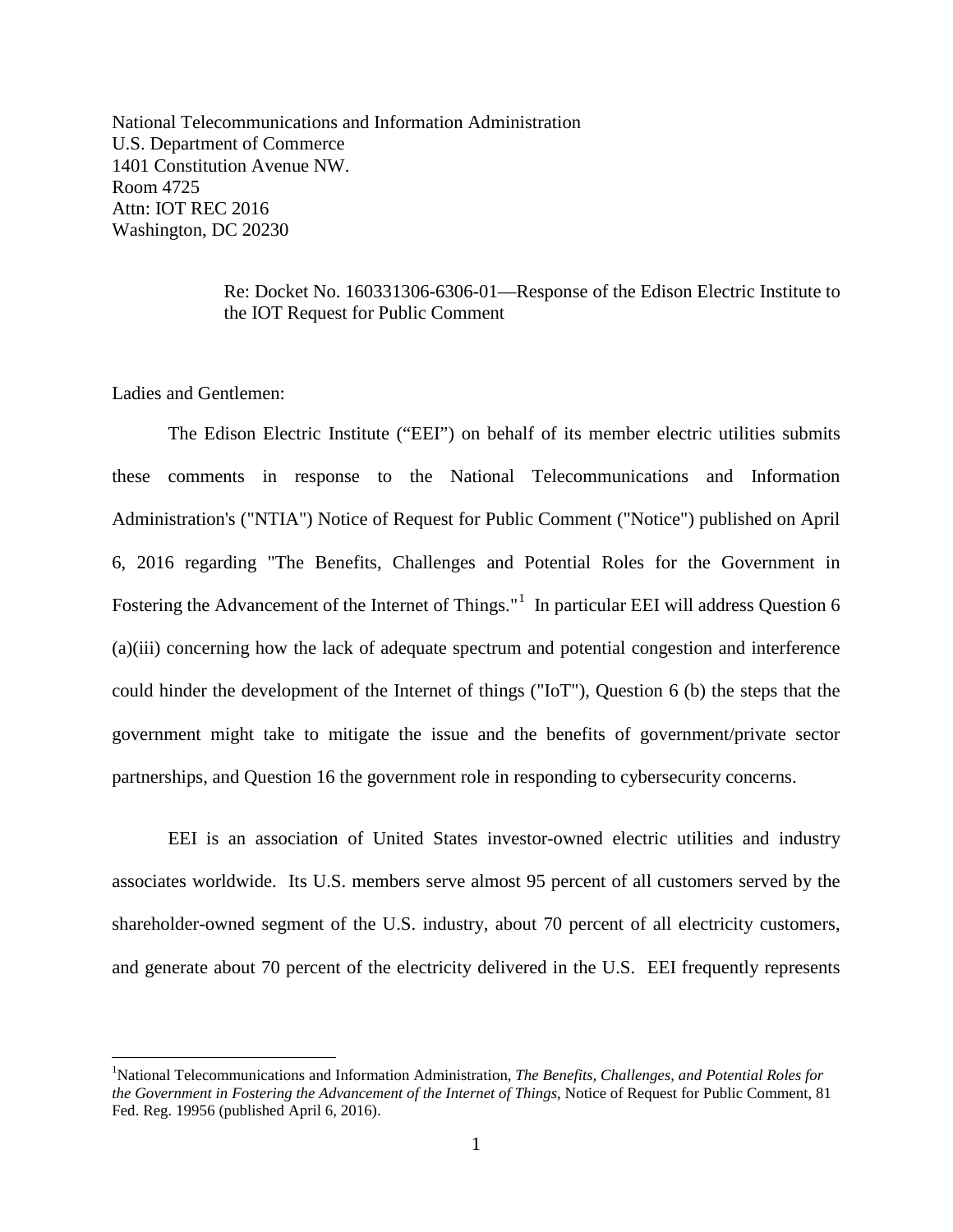National Telecommunications and Information Administration U.S. Department of Commerce 1401 Constitution Avenue NW. Room 4725 Attn: IOT REC 2016 Washington, DC 20230

> Re: Docket No. 160331306-6306-01—Response of the Edison Electric Institute to the IOT Request for Public Comment

Ladies and Gentlemen:

The Edison Electric Institute ("EEI") on behalf of its member electric utilities submits these comments in response to the National Telecommunications and Information Administration's ("NTIA") Notice of Request for Public Comment ("Notice") published on April 6, 2016 regarding "The Benefits, Challenges and Potential Roles for the Government in Fostering the Advancement of the Internet of Things." $1$  In particular EEI will address Question 6 (a)(iii) concerning how the lack of adequate spectrum and potential congestion and interference could hinder the development of the Internet of things ("IoT"), Question 6 (b) the steps that the government might take to mitigate the issue and the benefits of government/private sector partnerships, and Question 16 the government role in responding to cybersecurity concerns.

EEI is an association of United States investor-owned electric utilities and industry associates worldwide. Its U.S. members serve almost 95 percent of all customers served by the shareholder-owned segment of the U.S. industry, about 70 percent of all electricity customers, and generate about 70 percent of the electricity delivered in the U.S. EEI frequently represents

<span id="page-0-0"></span> $\frac{1}{1}$ <sup>1</sup>National Telecommunications and Information Administration, *The Benefits, Challenges, and Potential Roles for the Government in Fostering the Advancement of the Internet of Things*, Notice of Request for Public Comment, 81 Fed. Reg. 19956 (published April 6, 2016).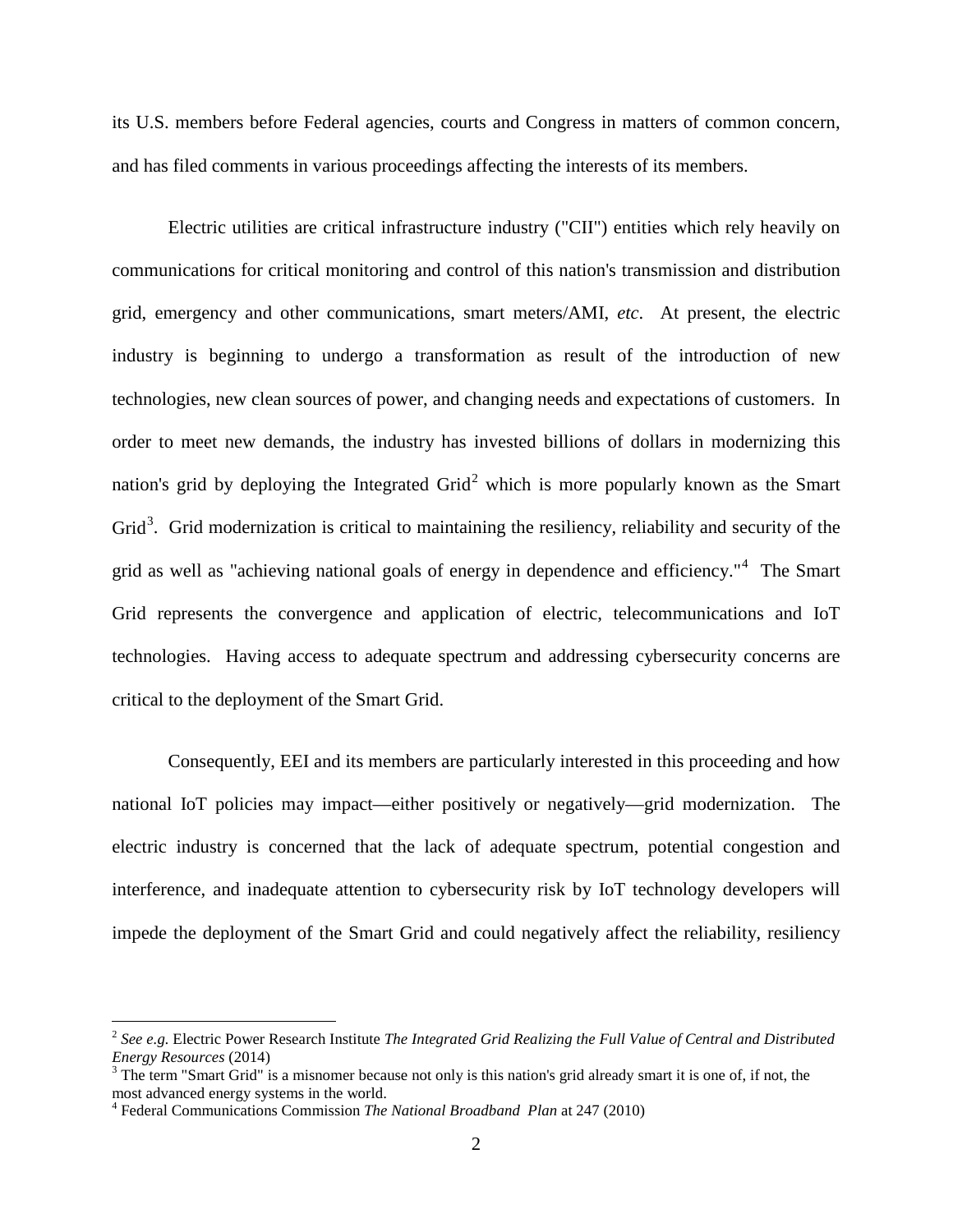its U.S. members before Federal agencies, courts and Congress in matters of common concern, and has filed comments in various proceedings affecting the interests of its members.

Electric utilities are critical infrastructure industry ("CII") entities which rely heavily on communications for critical monitoring and control of this nation's transmission and distribution grid, emergency and other communications, smart meters/AMI, *etc*. At present, the electric industry is beginning to undergo a transformation as result of the introduction of new technologies, new clean sources of power, and changing needs and expectations of customers. In order to meet new demands, the industry has invested billions of dollars in modernizing this nation's grid by deploying the Integrated  $Grid<sup>2</sup>$  $Grid<sup>2</sup>$  $Grid<sup>2</sup>$  which is more popularly known as the Smart Grid<sup>[3](#page-1-1)</sup>. Grid modernization is critical to maintaining the resiliency, reliability and security of the grid as well as "achieving national goals of energy in dependence and efficiency."[4](#page-1-2) The Smart Grid represents the convergence and application of electric, telecommunications and IoT technologies. Having access to adequate spectrum and addressing cybersecurity concerns are critical to the deployment of the Smart Grid.

Consequently, EEI and its members are particularly interested in this proceeding and how national IoT policies may impact—either positively or negatively—grid modernization. The electric industry is concerned that the lack of adequate spectrum, potential congestion and interference, and inadequate attention to cybersecurity risk by IoT technology developers will impede the deployment of the Smart Grid and could negatively affect the reliability, resiliency

<span id="page-1-0"></span> <sup>2</sup> *See e.g.* Electric Power Research Institute *The Integrated Grid Realizing the Full Value of Central and Distributed Energy Resources* (2014)<br><sup>3</sup> The term "Smart Grid" is a misnomer because not only is this nation's grid already smart it is one of, if not, the

<span id="page-1-1"></span>most advanced energy systems in the world.

<span id="page-1-2"></span><sup>4</sup> Federal Communications Commission *The National Broadband Plan* at 247 (2010)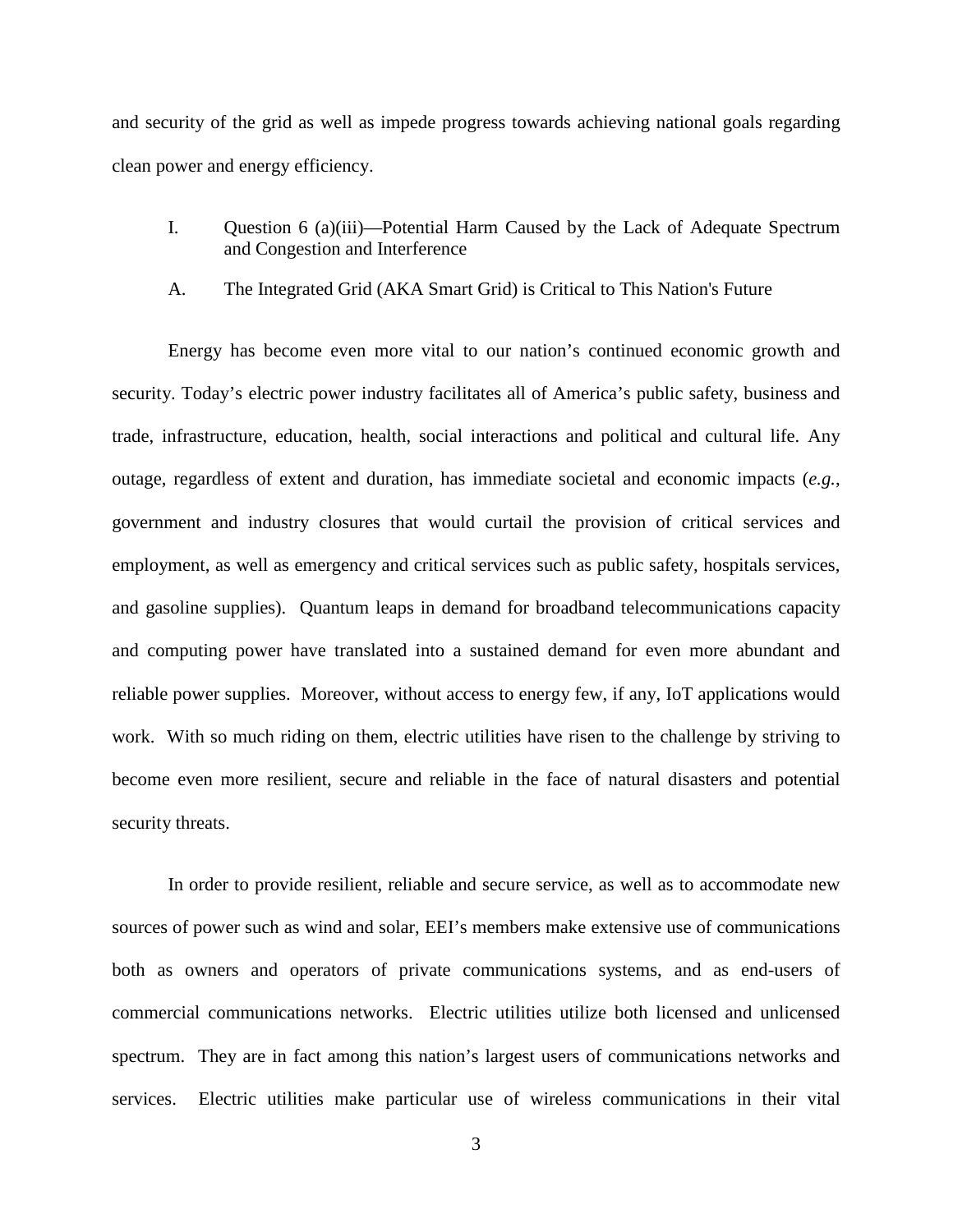and security of the grid as well as impede progress towards achieving national goals regarding clean power and energy efficiency.

- I. Question 6 (a)(iii)—Potential Harm Caused by the Lack of Adequate Spectrum and Congestion and Interference
- A. The Integrated Grid (AKA Smart Grid) is Critical to This Nation's Future

Energy has become even more vital to our nation's continued economic growth and security. Today's electric power industry facilitates all of America's public safety, business and trade, infrastructure, education, health, social interactions and political and cultural life. Any outage, regardless of extent and duration, has immediate societal and economic impacts (*e.g.*, government and industry closures that would curtail the provision of critical services and employment, as well as emergency and critical services such as public safety, hospitals services, and gasoline supplies). Quantum leaps in demand for broadband telecommunications capacity and computing power have translated into a sustained demand for even more abundant and reliable power supplies. Moreover, without access to energy few, if any, IoT applications would work. With so much riding on them, electric utilities have risen to the challenge by striving to become even more resilient, secure and reliable in the face of natural disasters and potential security threats.

In order to provide resilient, reliable and secure service, as well as to accommodate new sources of power such as wind and solar, EEI's members make extensive use of communications both as owners and operators of private communications systems, and as end-users of commercial communications networks. Electric utilities utilize both licensed and unlicensed spectrum. They are in fact among this nation's largest users of communications networks and services. Electric utilities make particular use of wireless communications in their vital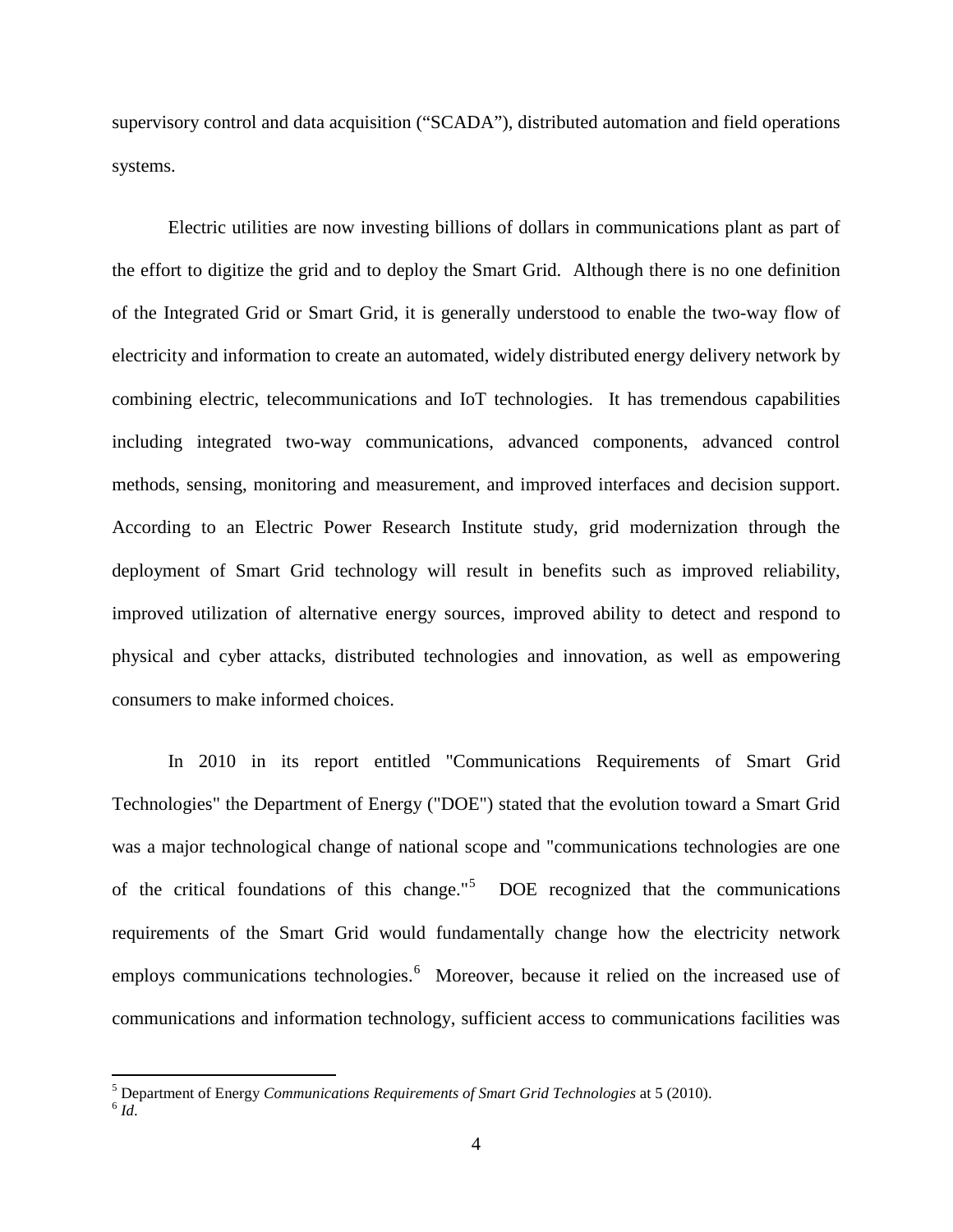supervisory control and data acquisition ("SCADA"), distributed automation and field operations systems.

Electric utilities are now investing billions of dollars in communications plant as part of the effort to digitize the grid and to deploy the Smart Grid. Although there is no one definition of the Integrated Grid or Smart Grid, it is generally understood to enable the two-way flow of electricity and information to create an automated, widely distributed energy delivery network by combining electric, telecommunications and IoT technologies. It has tremendous capabilities including integrated two-way communications, advanced components, advanced control methods, sensing, monitoring and measurement, and improved interfaces and decision support. According to an Electric Power Research Institute study, grid modernization through the deployment of Smart Grid technology will result in benefits such as improved reliability, improved utilization of alternative energy sources, improved ability to detect and respond to physical and cyber attacks, distributed technologies and innovation, as well as empowering consumers to make informed choices.

In 2010 in its report entitled "Communications Requirements of Smart Grid Technologies" the Department of Energy ("DOE") stated that the evolution toward a Smart Grid was a major technological change of national scope and "communications technologies are one of the critical foundations of this change."<sup>[5](#page-3-0)</sup> DOE recognized that the communications requirements of the Smart Grid would fundamentally change how the electricity network employs communications technologies.<sup>[6](#page-3-1)</sup> Moreover, because it relied on the increased use of communications and information technology, sufficient access to communications facilities was

<span id="page-3-1"></span><span id="page-3-0"></span> $^5$  Department of Energy *Communications Requirements of Smart Grid Technologies* at 5 (2010).  $^6$  *Id*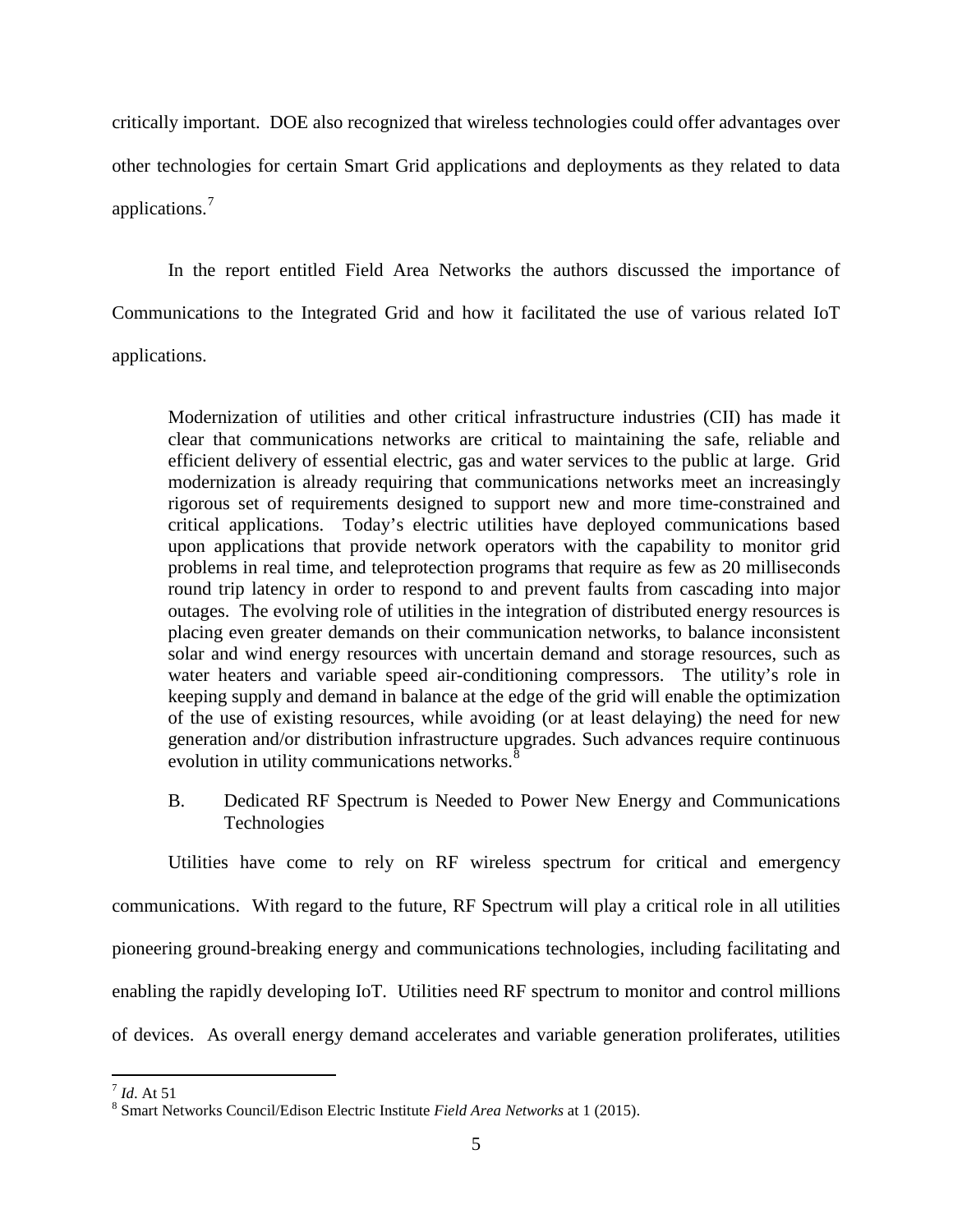critically important. DOE also recognized that wireless technologies could offer advantages over other technologies for certain Smart Grid applications and deployments as they related to data applications.[7](#page-4-0)

In the report entitled Field Area Networks the authors discussed the importance of Communications to the Integrated Grid and how it facilitated the use of various related IoT applications.

Modernization of utilities and other critical infrastructure industries (CII) has made it clear that communications networks are critical to maintaining the safe, reliable and efficient delivery of essential electric, gas and water services to the public at large. Grid modernization is already requiring that communications networks meet an increasingly rigorous set of requirements designed to support new and more time-constrained and critical applications. Today's electric utilities have deployed communications based upon applications that provide network operators with the capability to monitor grid problems in real time, and teleprotection programs that require as few as 20 milliseconds round trip latency in order to respond to and prevent faults from cascading into major outages. The evolving role of utilities in the integration of distributed energy resources is placing even greater demands on their communication networks, to balance inconsistent solar and wind energy resources with uncertain demand and storage resources, such as water heaters and variable speed air-conditioning compressors. The utility's role in keeping supply and demand in balance at the edge of the grid will enable the optimization of the use of existing resources, while avoiding (or at least delaying) the need for new generation and/or distribution infrastructure upgrades. Such advances require continuous evolution in utility communications networks.<sup>[8](#page-4-1)</sup>

B. Dedicated RF Spectrum is Needed to Power New Energy and Communications Technologies

Utilities have come to rely on RF wireless spectrum for critical and emergency communications. With regard to the future, RF Spectrum will play a critical role in all utilities pioneering ground-breaking energy and communications technologies, including facilitating and enabling the rapidly developing IoT. Utilities need RF spectrum to monitor and control millions of devices. As overall energy demand accelerates and variable generation proliferates, utilities

<span id="page-4-1"></span><span id="page-4-0"></span><sup>&</sup>lt;sup>7</sup> *Id*. At 51 **8 Smart Networks Council/Edison Electric Institute** *Field Area Networks* **at 1 (2015).**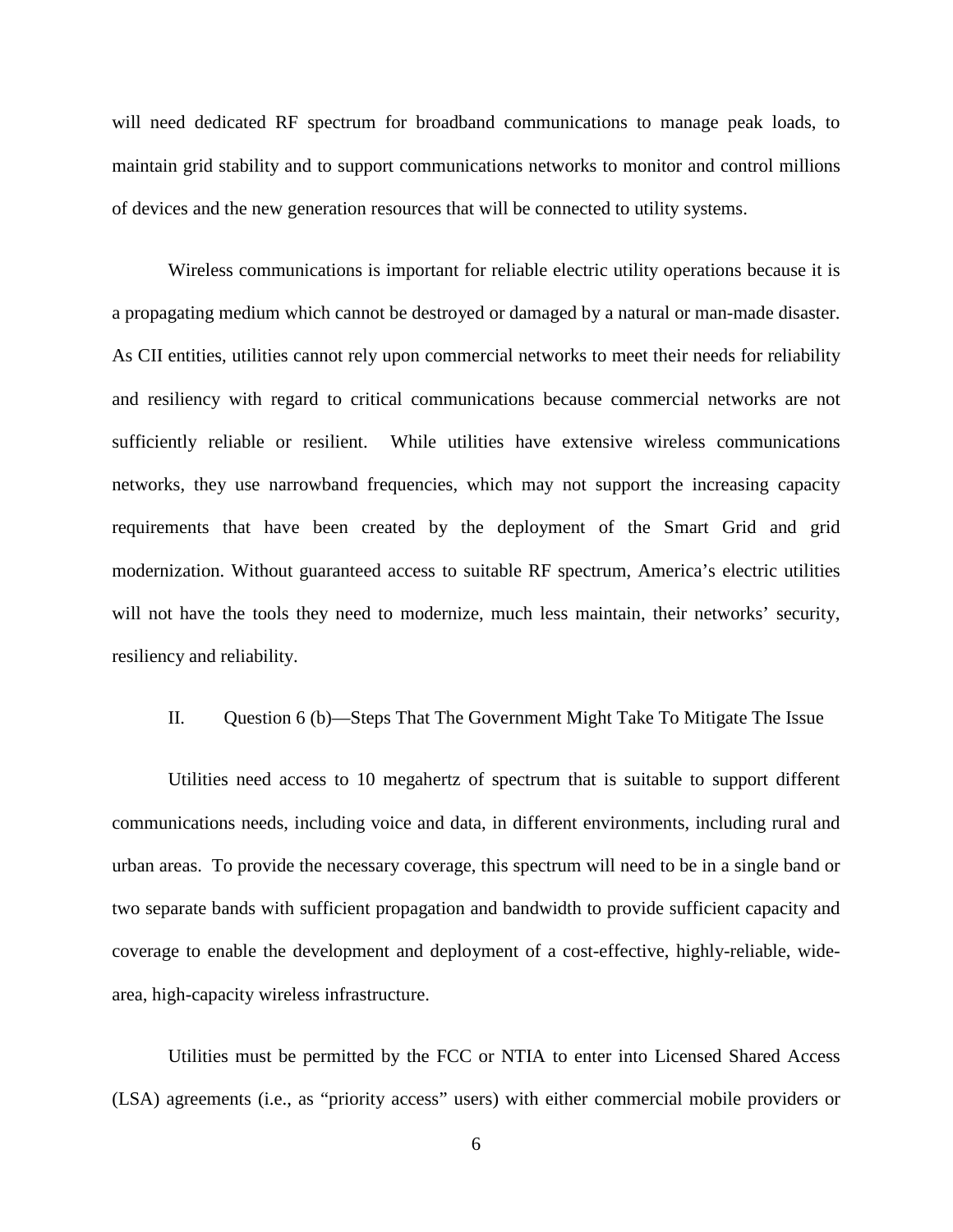will need dedicated RF spectrum for broadband communications to manage peak loads, to maintain grid stability and to support communications networks to monitor and control millions of devices and the new generation resources that will be connected to utility systems.

Wireless communications is important for reliable electric utility operations because it is a propagating medium which cannot be destroyed or damaged by a natural or man-made disaster. As CII entities, utilities cannot rely upon commercial networks to meet their needs for reliability and resiliency with regard to critical communications because commercial networks are not sufficiently reliable or resilient. While utilities have extensive wireless communications networks, they use narrowband frequencies, which may not support the increasing capacity requirements that have been created by the deployment of the Smart Grid and grid modernization. Without guaranteed access to suitable RF spectrum, America's electric utilities will not have the tools they need to modernize, much less maintain, their networks' security, resiliency and reliability.

## II. Question 6 (b)—Steps That The Government Might Take To Mitigate The Issue

Utilities need access to 10 megahertz of spectrum that is suitable to support different communications needs, including voice and data, in different environments, including rural and urban areas. To provide the necessary coverage, this spectrum will need to be in a single band or two separate bands with sufficient propagation and bandwidth to provide sufficient capacity and coverage to enable the development and deployment of a cost-effective, highly-reliable, widearea, high-capacity wireless infrastructure.

Utilities must be permitted by the FCC or NTIA to enter into Licensed Shared Access (LSA) agreements (i.e., as "priority access" users) with either commercial mobile providers or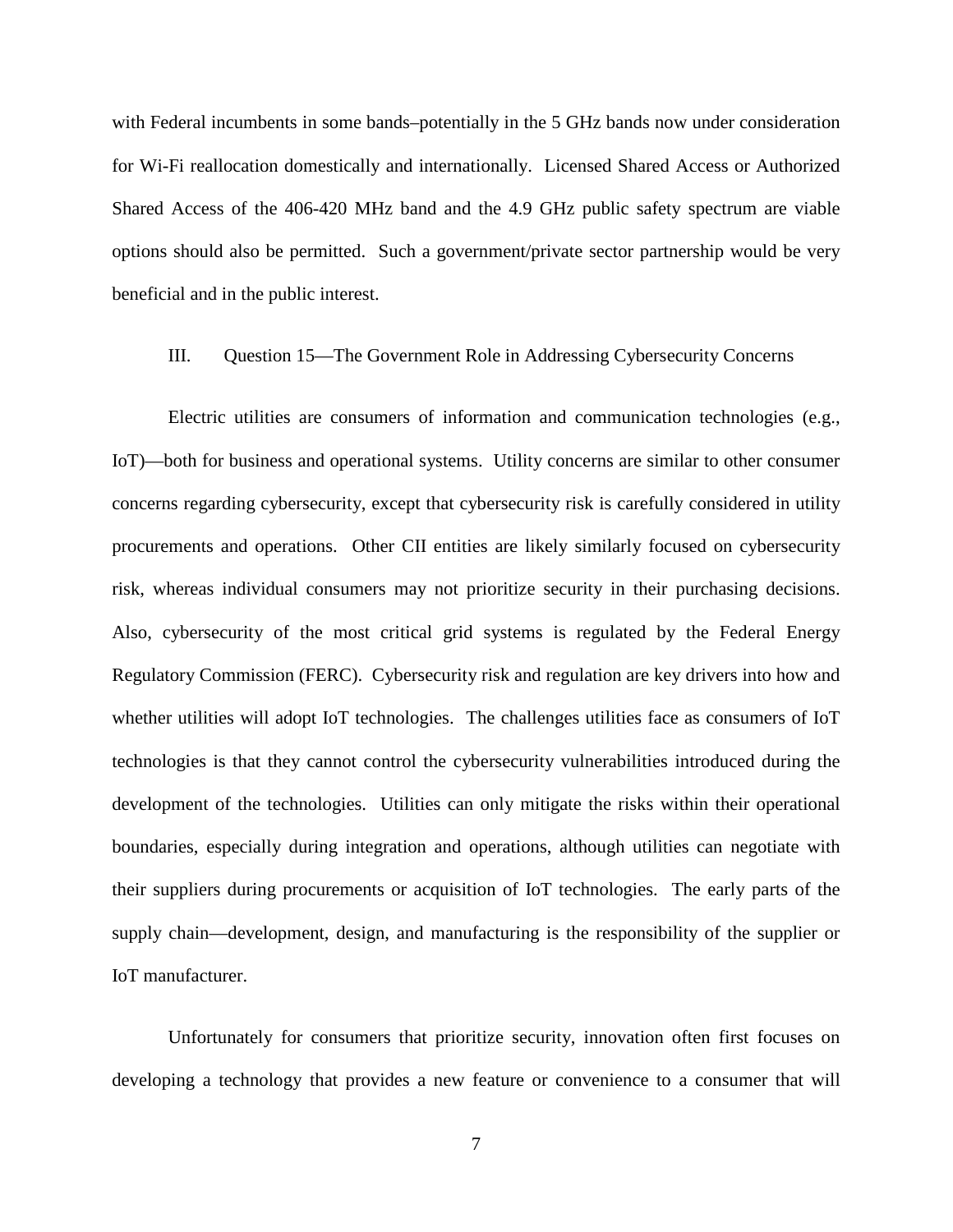with Federal incumbents in some bands–potentially in the 5 GHz bands now under consideration for Wi-Fi reallocation domestically and internationally. Licensed Shared Access or Authorized Shared Access of the 406-420 MHz band and the 4.9 GHz public safety spectrum are viable options should also be permitted. Such a government/private sector partnership would be very beneficial and in the public interest.

## III. Question 15—The Government Role in Addressing Cybersecurity Concerns

Electric utilities are consumers of information and communication technologies (e.g., IoT)—both for business and operational systems. Utility concerns are similar to other consumer concerns regarding cybersecurity, except that cybersecurity risk is carefully considered in utility procurements and operations. Other CII entities are likely similarly focused on cybersecurity risk, whereas individual consumers may not prioritize security in their purchasing decisions. Also, cybersecurity of the most critical grid systems is regulated by the Federal Energy Regulatory Commission (FERC). Cybersecurity risk and regulation are key drivers into how and whether utilities will adopt IoT technologies. The challenges utilities face as consumers of IoT technologies is that they cannot control the cybersecurity vulnerabilities introduced during the development of the technologies. Utilities can only mitigate the risks within their operational boundaries, especially during integration and operations, although utilities can negotiate with their suppliers during procurements or acquisition of IoT technologies. The early parts of the supply chain—development, design, and manufacturing is the responsibility of the supplier or IoT manufacturer.

Unfortunately for consumers that prioritize security, innovation often first focuses on developing a technology that provides a new feature or convenience to a consumer that will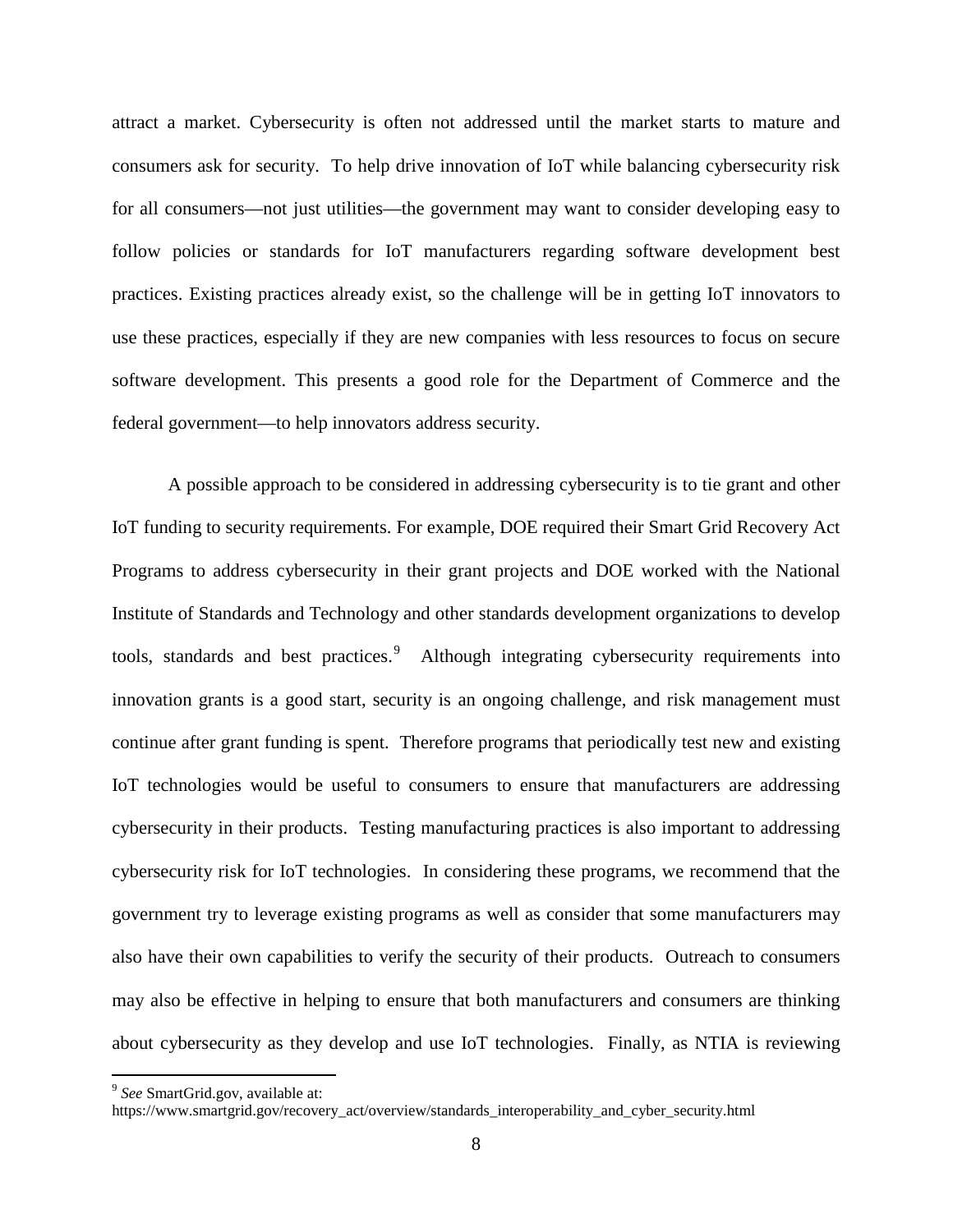attract a market. Cybersecurity is often not addressed until the market starts to mature and consumers ask for security. To help drive innovation of IoT while balancing cybersecurity risk for all consumers—not just utilities—the government may want to consider developing easy to follow policies or standards for IoT manufacturers regarding software development best practices. Existing practices already exist, so the challenge will be in getting IoT innovators to use these practices, especially if they are new companies with less resources to focus on secure software development. This presents a good role for the Department of Commerce and the federal government—to help innovators address security.

A possible approach to be considered in addressing cybersecurity is to tie grant and other IoT funding to security requirements. For example, DOE required their Smart Grid Recovery Act Programs to address cybersecurity in their grant projects and DOE worked with the National Institute of Standards and Technology and other standards development organizations to develop tools, standards and best practices.<sup>[9](#page-7-0)</sup> Although integrating cybersecurity requirements into innovation grants is a good start, security is an ongoing challenge, and risk management must continue after grant funding is spent. Therefore programs that periodically test new and existing IoT technologies would be useful to consumers to ensure that manufacturers are addressing cybersecurity in their products. Testing manufacturing practices is also important to addressing cybersecurity risk for IoT technologies. In considering these programs, we recommend that the government try to leverage existing programs as well as consider that some manufacturers may also have their own capabilities to verify the security of their products. Outreach to consumers may also be effective in helping to ensure that both manufacturers and consumers are thinking about cybersecurity as they develop and use IoT technologies. Finally, as NTIA is reviewing

<span id="page-7-0"></span> <sup>9</sup> *See* SmartGrid.gov, available at:

https://www.smartgrid.gov/recovery\_act/overview/standards\_interoperability\_and\_cyber\_security.html